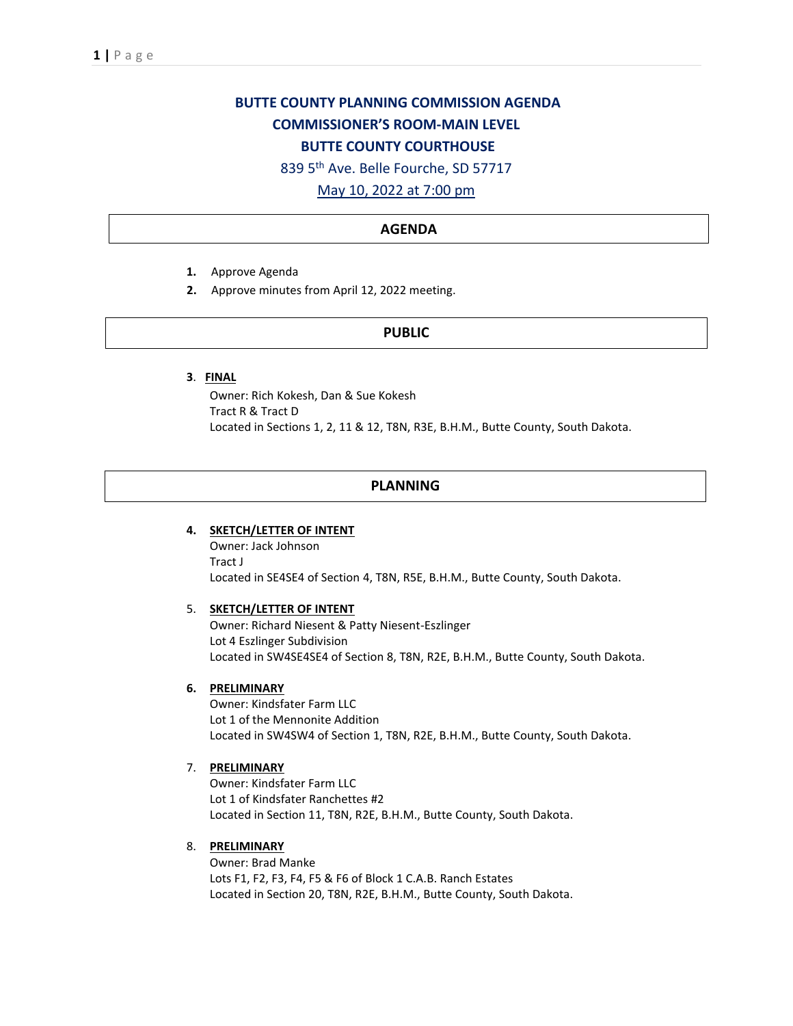# **BUTTE COUNTY PLANNING COMMISSION AGENDA COMMISSIONER'S ROOM-MAIN LEVEL BUTTE COUNTY COURTHOUSE**

839 5th Ave. Belle Fourche, SD 57717

# May 10, 2022 at 7:00 pm

### **AGENDA**

- **1.** Approve Agenda
- **2.** Approve minutes from April 12, 2022 meeting.

#### **PUBLIC**

**3**. **FINAL** 

Owner: Rich Kokesh, Dan & Sue Kokesh Tract R & Tract D Located in Sections 1, 2, 11 & 12, T8N, R3E, B.H.M., Butte County, South Dakota.

#### **PLANNING**

### **4. SKETCH/LETTER OF INTENT**

Owner: Jack Johnson Tract J Located in SE4SE4 of Section 4, T8N, R5E, B.H.M., Butte County, South Dakota.

#### 5. **SKETCH/LETTER OF INTENT**

Owner: Richard Niesent & Patty Niesent-Eszlinger Lot 4 Eszlinger Subdivision Located in SW4SE4SE4 of Section 8, T8N, R2E, B.H.M., Butte County, South Dakota.

#### **6. PRELIMINARY**

Owner: Kindsfater Farm LLC Lot 1 of the Mennonite Addition Located in SW4SW4 of Section 1, T8N, R2E, B.H.M., Butte County, South Dakota.

## 7. **PRELIMINARY**

Owner: Kindsfater Farm LLC Lot 1 of Kindsfater Ranchettes #2 Located in Section 11, T8N, R2E, B.H.M., Butte County, South Dakota.

# 8. **PRELIMINARY**

Owner: Brad Manke Lots F1, F2, F3, F4, F5 & F6 of Block 1 C.A.B. Ranch Estates Located in Section 20, T8N, R2E, B.H.M., Butte County, South Dakota.